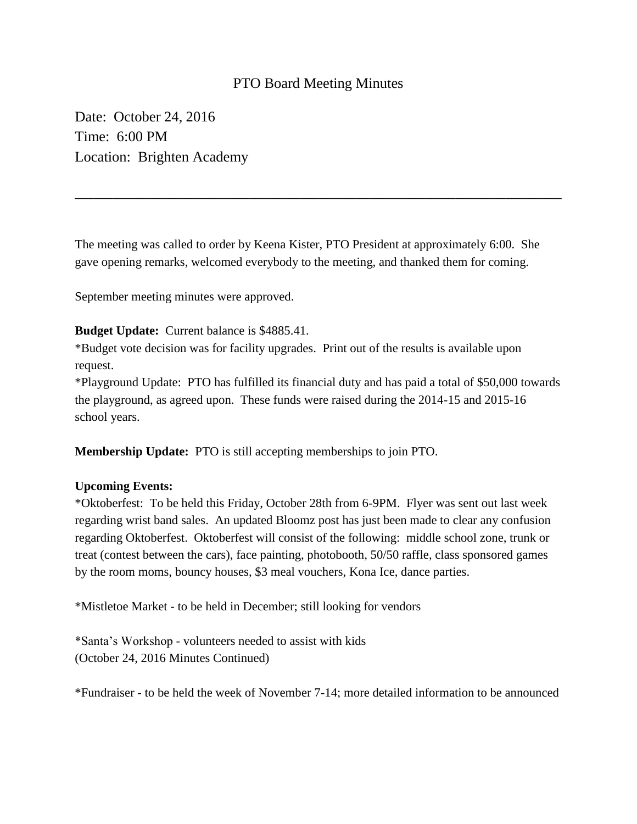## PTO Board Meeting Minutes

Date: October 24, 2016 Time: 6:00 PM Location: Brighten Academy

The meeting was called to order by Keena Kister, PTO President at approximately 6:00. She gave opening remarks, welcomed everybody to the meeting, and thanked them for coming.

**\_\_\_\_\_\_\_\_\_\_\_\_\_\_\_\_\_\_\_\_\_\_\_\_\_\_\_\_\_\_\_\_\_\_\_\_\_\_\_\_\_\_\_\_\_\_\_\_\_\_\_\_\_\_\_\_\_\_\_\_\_\_\_\_\_\_\_\_\_\_\_\_\_\_\_\_\_\_**

September meeting minutes were approved.

## **Budget Update:** Current balance is \$4885.41.

\*Budget vote decision was for facility upgrades. Print out of the results is available upon request.

\*Playground Update: PTO has fulfilled its financial duty and has paid a total of \$50,000 towards the playground, as agreed upon. These funds were raised during the 2014-15 and 2015-16 school years.

**Membership Update:** PTO is still accepting memberships to join PTO.

## **Upcoming Events:**

\*Oktoberfest: To be held this Friday, October 28th from 6-9PM. Flyer was sent out last week regarding wrist band sales. An updated Bloomz post has just been made to clear any confusion regarding Oktoberfest. Oktoberfest will consist of the following: middle school zone, trunk or treat (contest between the cars), face painting, photobooth, 50/50 raffle, class sponsored games by the room moms, bouncy houses, \$3 meal vouchers, Kona Ice, dance parties.

\*Mistletoe Market - to be held in December; still looking for vendors

\*Santa's Workshop - volunteers needed to assist with kids (October 24, 2016 Minutes Continued)

\*Fundraiser - to be held the week of November 7-14; more detailed information to be announced